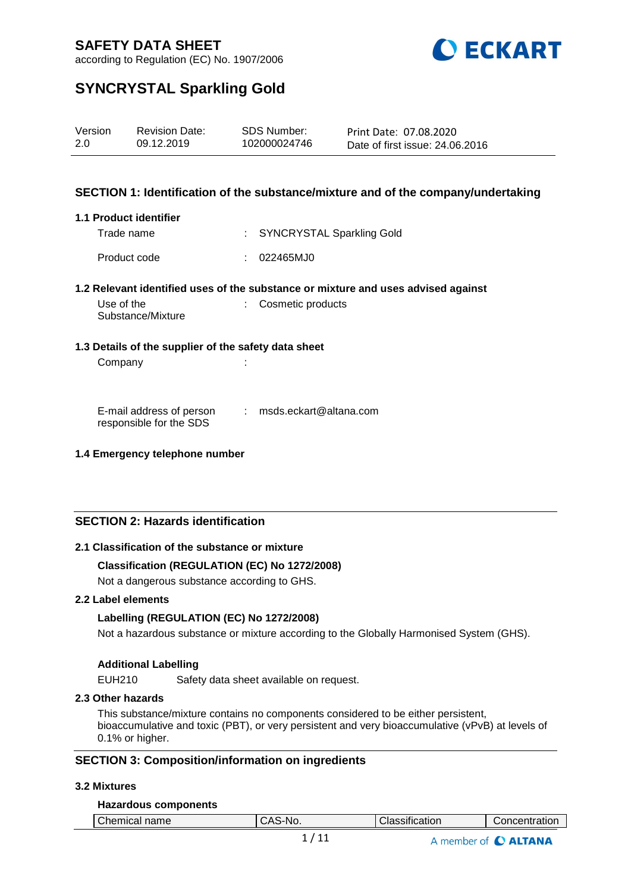

according to Regulation (EC) No. 1907/2006

# **SYNCRYSTAL Sparkling Gold**

| Version | <b>Revision Date:</b> | SDS Number:  | Print Date: 07.08.2020          |
|---------|-----------------------|--------------|---------------------------------|
| 2.0     | 09.12.2019            | 102000024746 | Date of first issue: 24,06,2016 |

## **SECTION 1: Identification of the substance/mixture and of the company/undertaking**

#### **1.1 Product identifier**

Trade name : SYNCRYSTAL Sparkling Gold Product code : 022465MJ0

#### **1.2 Relevant identified uses of the substance or mixture and uses advised against**

| Use of the        | Cosmetic products |
|-------------------|-------------------|
| Substance/Mixture |                   |

#### **1.3 Details of the supplier of the safety data sheet**

Company :

E-mail address of person responsible for the SDS : msds.eckart@altana.com

#### **1.4 Emergency telephone number**

## **SECTION 2: Hazards identification**

## **2.1 Classification of the substance or mixture**

## **Classification (REGULATION (EC) No 1272/2008)**

Not a dangerous substance according to GHS.

### **2.2 Label elements**

## **Labelling (REGULATION (EC) No 1272/2008)**

Not a hazardous substance or mixture according to the Globally Harmonised System (GHS).

## **Additional Labelling**

EUH210 Safety data sheet available on request.

#### **2.3 Other hazards**

This substance/mixture contains no components considered to be either persistent, bioaccumulative and toxic (PBT), or very persistent and very bioaccumulative (vPvB) at levels of 0.1% or higher.

## **SECTION 3: Composition/information on ingredients**

## **3.2 Mixtures**

#### **Hazardous components**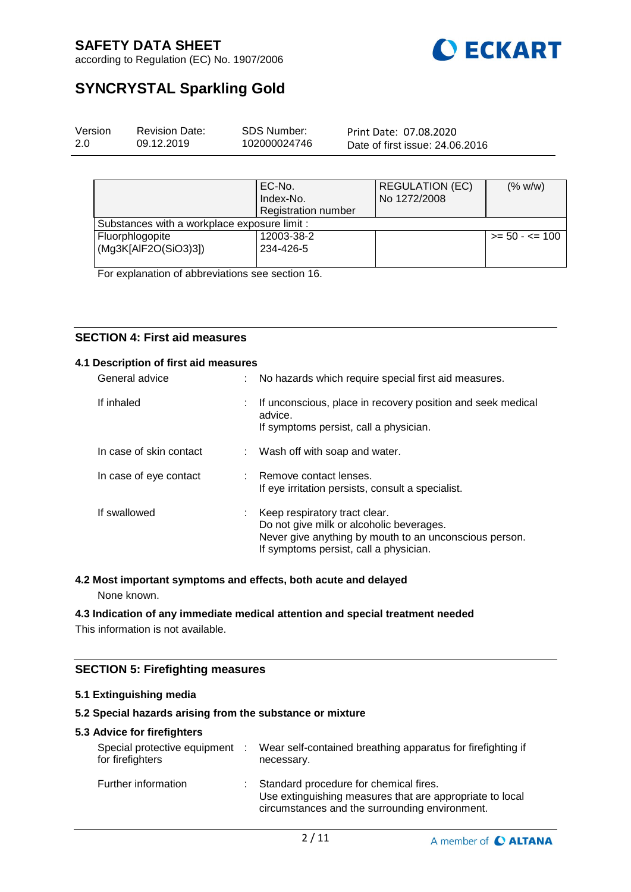

according to Regulation (EC) No. 1907/2006

# **SYNCRYSTAL Sparkling Gold**

| Version | <b>Revision Date:</b> | SDS Number:  | Print Date: 07.08.2020          |
|---------|-----------------------|--------------|---------------------------------|
| 2.0     | 09.12.2019            | 102000024746 | Date of first issue: 24.06.2016 |
|         |                       |              |                                 |

|                                              | EC-No.<br>Index-No.        | <b>REGULATION (EC)</b><br>No 1272/2008 | (% w/w)           |
|----------------------------------------------|----------------------------|----------------------------------------|-------------------|
|                                              | <b>Registration number</b> |                                        |                   |
| Substances with a workplace exposure limit : |                            |                                        |                   |
| Fluorphlogopite                              | 12003-38-2                 |                                        | $>= 50 - 5 = 100$ |
| (Mg3K[AlF2O(SiO3)3])                         | 234-426-5                  |                                        |                   |
|                                              |                            |                                        |                   |

For explanation of abbreviations see section 16.

## **SECTION 4: First aid measures**

## **4.1 Description of first aid measures**

| General advice          | No hazards which require special first aid measures.                                                                                                                          |
|-------------------------|-------------------------------------------------------------------------------------------------------------------------------------------------------------------------------|
| If inhaled              | If unconscious, place in recovery position and seek medical<br>advice.<br>If symptoms persist, call a physician.                                                              |
| In case of skin contact | Wash off with soap and water.                                                                                                                                                 |
| In case of eye contact  | : Remove contact lenses.<br>If eye irritation persists, consult a specialist.                                                                                                 |
| If swallowed            | Keep respiratory tract clear.<br>Do not give milk or alcoholic beverages.<br>Never give anything by mouth to an unconscious person.<br>If symptoms persist, call a physician. |

## **4.2 Most important symptoms and effects, both acute and delayed**

None known.

## **4.3 Indication of any immediate medical attention and special treatment needed**

This information is not available.

## **SECTION 5: Firefighting measures**

## **5.1 Extinguishing media**

## **5.2 Special hazards arising from the substance or mixture**

#### **5.3 Advice for firefighters**

| Special protective equipment<br>for firefighters | ÷ | Wear self-contained breathing apparatus for firefighting if<br>necessary.                                                                            |
|--------------------------------------------------|---|------------------------------------------------------------------------------------------------------------------------------------------------------|
| Further information                              | ÷ | Standard procedure for chemical fires.<br>Use extinguishing measures that are appropriate to local<br>circumstances and the surrounding environment. |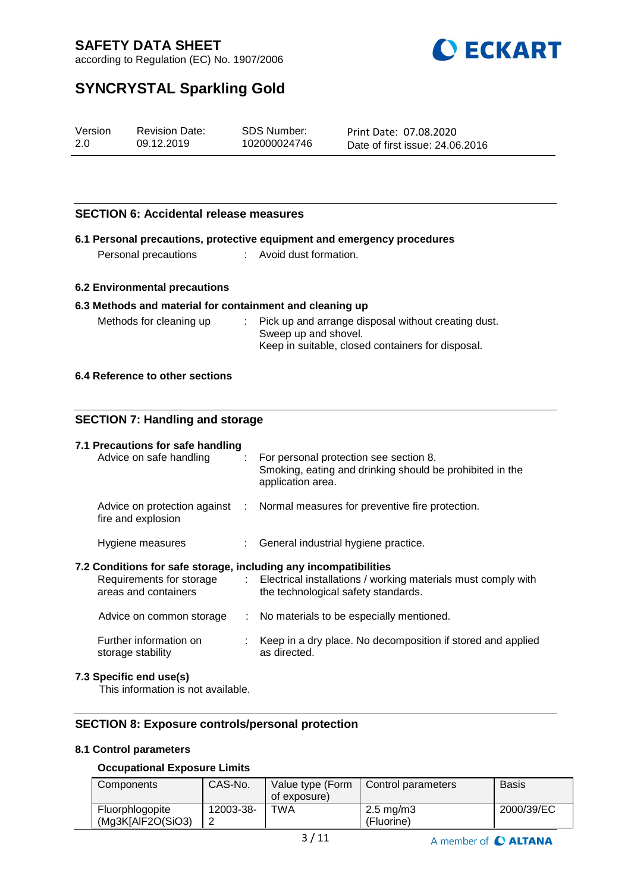

according to Regulation (EC) No. 1907/2006

# **SYNCRYSTAL Sparkling Gold**

| Version | <b>Revision Date:</b> | SDS Number:  | Print Date: 07.08.2020          |
|---------|-----------------------|--------------|---------------------------------|
| 2.0     | 09.12.2019            | 102000024746 | Date of first issue: 24.06.2016 |

## **SECTION 6: Accidental release measures**

|                      | 6.1 Personal precautions, protective equipment and emergency procedures |
|----------------------|-------------------------------------------------------------------------|
| Personal precautions | Avoid dust formation.                                                   |

## **6.2 Environmental precautions**

#### **6.3 Methods and material for containment and cleaning up**

| Methods for cleaning up | : Pick up and arrange disposal without creating dust. |
|-------------------------|-------------------------------------------------------|
|                         | Sweep up and shovel.                                  |
|                         | Keep in suitable, closed containers for disposal.     |

## **6.4 Reference to other sections**

## **SECTION 7: Handling and storage**

| 7.1 Precautions for safe handling<br>Advice on safe handling                             | $\therefore$ For personal protection see section 8.<br>Smoking, eating and drinking should be prohibited in the<br>application area. |
|------------------------------------------------------------------------------------------|--------------------------------------------------------------------------------------------------------------------------------------|
| fire and explosion                                                                       | Advice on protection against : Normal measures for preventive fire protection.                                                       |
| Hygiene measures                                                                         | : General industrial hygiene practice.                                                                                               |
| 7.2 Conditions for safe storage, including any incompatibilities<br>areas and containers | Requirements for storage : Electrical installations / working materials must comply with<br>the technological safety standards.      |
| Advice on common storage                                                                 | : No materials to be especially mentioned.                                                                                           |
| Further information on<br>storage stability                                              | Keep in a dry place. No decomposition if stored and applied<br>as directed.                                                          |
| 7.3 Specific end use(s)                                                                  |                                                                                                                                      |

This information is not available.

## **SECTION 8: Exposure controls/personal protection**

## **8.1 Control parameters**

## **Occupational Exposure Limits**

| Components                           | CAS-No.   | Value type (Form<br>of exposure) | Control parameters                 | Basis      |
|--------------------------------------|-----------|----------------------------------|------------------------------------|------------|
| Fluorphlogopite<br>(Mg3K[AlF2O(SiO3) | 12003-38- | TWA                              | $2.5 \text{ mg/m}$ 3<br>(Fluorine) | 2000/39/EC |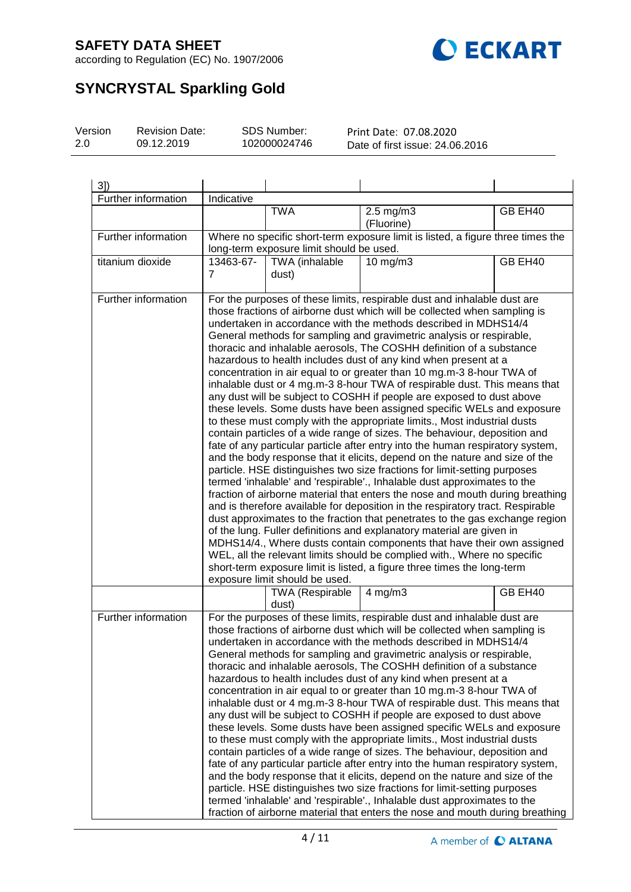

according to Regulation (EC) No. 1907/2006

# **SYNCRYSTAL Sparkling Gold**

| Version | <b>Revision Date:</b> | SDS Number:  | Print Date: 07.08.2020          |
|---------|-----------------------|--------------|---------------------------------|
| -2.0    | 09.12.2019            | 102000024746 | Date of first issue: 24,06,2016 |
|         |                       |              |                                 |

| 3]                  |                                                                                                                                                                                                                                                                                                                                                                                                                                                                                                                                                                                                                                                                                                                                                                                                                                                                                                                                                                                                                                                                                                                                                                                                                                                                                                                                                                                                                                                                                                                                                                                                                                                                                                                                                                                                      |                                          |                                                                                                                                                                                                                                                                                                                                                                                                                                                                                                                                                                                                                                                                                                                                                                                                                                                                                                                                                                                                                                                                                                                                                                                                                                                                                                                          |         |
|---------------------|------------------------------------------------------------------------------------------------------------------------------------------------------------------------------------------------------------------------------------------------------------------------------------------------------------------------------------------------------------------------------------------------------------------------------------------------------------------------------------------------------------------------------------------------------------------------------------------------------------------------------------------------------------------------------------------------------------------------------------------------------------------------------------------------------------------------------------------------------------------------------------------------------------------------------------------------------------------------------------------------------------------------------------------------------------------------------------------------------------------------------------------------------------------------------------------------------------------------------------------------------------------------------------------------------------------------------------------------------------------------------------------------------------------------------------------------------------------------------------------------------------------------------------------------------------------------------------------------------------------------------------------------------------------------------------------------------------------------------------------------------------------------------------------------------|------------------------------------------|--------------------------------------------------------------------------------------------------------------------------------------------------------------------------------------------------------------------------------------------------------------------------------------------------------------------------------------------------------------------------------------------------------------------------------------------------------------------------------------------------------------------------------------------------------------------------------------------------------------------------------------------------------------------------------------------------------------------------------------------------------------------------------------------------------------------------------------------------------------------------------------------------------------------------------------------------------------------------------------------------------------------------------------------------------------------------------------------------------------------------------------------------------------------------------------------------------------------------------------------------------------------------------------------------------------------------|---------|
| Further information | Indicative                                                                                                                                                                                                                                                                                                                                                                                                                                                                                                                                                                                                                                                                                                                                                                                                                                                                                                                                                                                                                                                                                                                                                                                                                                                                                                                                                                                                                                                                                                                                                                                                                                                                                                                                                                                           |                                          |                                                                                                                                                                                                                                                                                                                                                                                                                                                                                                                                                                                                                                                                                                                                                                                                                                                                                                                                                                                                                                                                                                                                                                                                                                                                                                                          |         |
|                     |                                                                                                                                                                                                                                                                                                                                                                                                                                                                                                                                                                                                                                                                                                                                                                                                                                                                                                                                                                                                                                                                                                                                                                                                                                                                                                                                                                                                                                                                                                                                                                                                                                                                                                                                                                                                      | <b>TWA</b>                               | $2.5 \text{ mg/m}$ 3<br>(Fluorine)                                                                                                                                                                                                                                                                                                                                                                                                                                                                                                                                                                                                                                                                                                                                                                                                                                                                                                                                                                                                                                                                                                                                                                                                                                                                                       | GB EH40 |
| Further information |                                                                                                                                                                                                                                                                                                                                                                                                                                                                                                                                                                                                                                                                                                                                                                                                                                                                                                                                                                                                                                                                                                                                                                                                                                                                                                                                                                                                                                                                                                                                                                                                                                                                                                                                                                                                      | long-term exposure limit should be used. | Where no specific short-term exposure limit is listed, a figure three times the                                                                                                                                                                                                                                                                                                                                                                                                                                                                                                                                                                                                                                                                                                                                                                                                                                                                                                                                                                                                                                                                                                                                                                                                                                          |         |
| titanium dioxide    | 13463-67-                                                                                                                                                                                                                                                                                                                                                                                                                                                                                                                                                                                                                                                                                                                                                                                                                                                                                                                                                                                                                                                                                                                                                                                                                                                                                                                                                                                                                                                                                                                                                                                                                                                                                                                                                                                            | TWA (inhalable                           | $10$ mg/m $3$                                                                                                                                                                                                                                                                                                                                                                                                                                                                                                                                                                                                                                                                                                                                                                                                                                                                                                                                                                                                                                                                                                                                                                                                                                                                                                            | GB EH40 |
|                     | $\overline{7}$                                                                                                                                                                                                                                                                                                                                                                                                                                                                                                                                                                                                                                                                                                                                                                                                                                                                                                                                                                                                                                                                                                                                                                                                                                                                                                                                                                                                                                                                                                                                                                                                                                                                                                                                                                                       | dust)                                    |                                                                                                                                                                                                                                                                                                                                                                                                                                                                                                                                                                                                                                                                                                                                                                                                                                                                                                                                                                                                                                                                                                                                                                                                                                                                                                                          |         |
| Further information | For the purposes of these limits, respirable dust and inhalable dust are<br>those fractions of airborne dust which will be collected when sampling is<br>undertaken in accordance with the methods described in MDHS14/4<br>General methods for sampling and gravimetric analysis or respirable,<br>thoracic and inhalable aerosols, The COSHH definition of a substance<br>hazardous to health includes dust of any kind when present at a<br>concentration in air equal to or greater than 10 mg.m-3 8-hour TWA of<br>inhalable dust or 4 mg.m-3 8-hour TWA of respirable dust. This means that<br>any dust will be subject to COSHH if people are exposed to dust above<br>these levels. Some dusts have been assigned specific WELs and exposure<br>to these must comply with the appropriate limits., Most industrial dusts<br>contain particles of a wide range of sizes. The behaviour, deposition and<br>fate of any particular particle after entry into the human respiratory system,<br>and the body response that it elicits, depend on the nature and size of the<br>particle. HSE distinguishes two size fractions for limit-setting purposes<br>termed 'inhalable' and 'respirable'., Inhalable dust approximates to the<br>fraction of airborne material that enters the nose and mouth during breathing<br>and is therefore available for deposition in the respiratory tract. Respirable<br>dust approximates to the fraction that penetrates to the gas exchange region<br>of the lung. Fuller definitions and explanatory material are given in<br>MDHS14/4., Where dusts contain components that have their own assigned<br>WEL, all the relevant limits should be complied with., Where no specific<br>short-term exposure limit is listed, a figure three times the long-term |                                          |                                                                                                                                                                                                                                                                                                                                                                                                                                                                                                                                                                                                                                                                                                                                                                                                                                                                                                                                                                                                                                                                                                                                                                                                                                                                                                                          |         |
|                     |                                                                                                                                                                                                                                                                                                                                                                                                                                                                                                                                                                                                                                                                                                                                                                                                                                                                                                                                                                                                                                                                                                                                                                                                                                                                                                                                                                                                                                                                                                                                                                                                                                                                                                                                                                                                      | TWA (Respirable<br>dust)                 | $4$ mg/m $3$                                                                                                                                                                                                                                                                                                                                                                                                                                                                                                                                                                                                                                                                                                                                                                                                                                                                                                                                                                                                                                                                                                                                                                                                                                                                                                             | GB EH40 |
| Further information |                                                                                                                                                                                                                                                                                                                                                                                                                                                                                                                                                                                                                                                                                                                                                                                                                                                                                                                                                                                                                                                                                                                                                                                                                                                                                                                                                                                                                                                                                                                                                                                                                                                                                                                                                                                                      |                                          | For the purposes of these limits, respirable dust and inhalable dust are<br>those fractions of airborne dust which will be collected when sampling is<br>undertaken in accordance with the methods described in MDHS14/4<br>General methods for sampling and gravimetric analysis or respirable,<br>thoracic and inhalable aerosols, The COSHH definition of a substance<br>hazardous to health includes dust of any kind when present at a<br>concentration in air equal to or greater than 10 mg.m-3 8-hour TWA of<br>inhalable dust or 4 mg.m-3 8-hour TWA of respirable dust. This means that<br>any dust will be subject to COSHH if people are exposed to dust above<br>these levels. Some dusts have been assigned specific WELs and exposure<br>to these must comply with the appropriate limits., Most industrial dusts<br>contain particles of a wide range of sizes. The behaviour, deposition and<br>fate of any particular particle after entry into the human respiratory system,<br>and the body response that it elicits, depend on the nature and size of the<br>particle. HSE distinguishes two size fractions for limit-setting purposes<br>termed 'inhalable' and 'respirable'., Inhalable dust approximates to the<br>fraction of airborne material that enters the nose and mouth during breathing |         |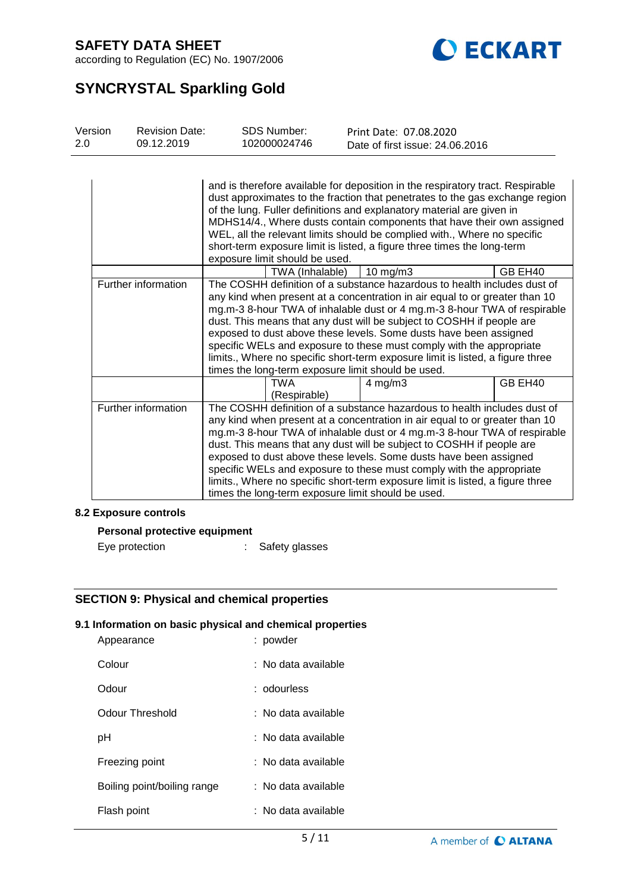

according to Regulation (EC) No. 1907/2006

# **SYNCRYSTAL Sparkling Gold**

| Version | <b>Revision Date:</b> | SDS Number:  | Print Date: 07.08.2020          |  |
|---------|-----------------------|--------------|---------------------------------|--|
| 2.0     | 09.12.2019            | 102000024746 | Date of first issue: 24.06.2016 |  |

|                     | and is therefore available for deposition in the respiratory tract. Respirable<br>dust approximates to the fraction that penetrates to the gas exchange region<br>of the lung. Fuller definitions and explanatory material are given in<br>MDHS14/4., Where dusts contain components that have their own assigned<br>WEL, all the relevant limits should be complied with., Where no specific<br>short-term exposure limit is listed, a figure three times the long-term<br>exposure limit should be used.                                                                                        |                     |               |         |
|---------------------|---------------------------------------------------------------------------------------------------------------------------------------------------------------------------------------------------------------------------------------------------------------------------------------------------------------------------------------------------------------------------------------------------------------------------------------------------------------------------------------------------------------------------------------------------------------------------------------------------|---------------------|---------------|---------|
|                     |                                                                                                                                                                                                                                                                                                                                                                                                                                                                                                                                                                                                   | TWA (Inhalable)     | $10$ mg/m $3$ | GB EH40 |
| Further information | The COSHH definition of a substance hazardous to health includes dust of<br>any kind when present at a concentration in air equal to or greater than 10<br>mg.m-3 8-hour TWA of inhalable dust or 4 mg.m-3 8-hour TWA of respirable<br>dust. This means that any dust will be subject to COSHH if people are<br>exposed to dust above these levels. Some dusts have been assigned<br>specific WELs and exposure to these must comply with the appropriate<br>limits., Where no specific short-term exposure limit is listed, a figure three<br>times the long-term exposure limit should be used. |                     |               |         |
|                     |                                                                                                                                                                                                                                                                                                                                                                                                                                                                                                                                                                                                   | TWA<br>(Respirable) | $4$ mg/m $3$  | GB EH40 |
| Further information | The COSHH definition of a substance hazardous to health includes dust of<br>any kind when present at a concentration in air equal to or greater than 10<br>mg.m-3 8-hour TWA of inhalable dust or 4 mg.m-3 8-hour TWA of respirable<br>dust. This means that any dust will be subject to COSHH if people are<br>exposed to dust above these levels. Some dusts have been assigned<br>specific WELs and exposure to these must comply with the appropriate<br>limits., Where no specific short-term exposure limit is listed, a figure three<br>times the long-term exposure limit should be used. |                     |               |         |

## **8.2 Exposure controls**

## **Personal protective equipment**

| Eye protection | Safety glasses |
|----------------|----------------|
|                |                |

## **SECTION 9: Physical and chemical properties**

## **9.1 Information on basic physical and chemical properties**

| Appearance                  | : powder            |
|-----------------------------|---------------------|
| Colour                      | : No data available |
| Odour                       | : odourless         |
| Odour Threshold             | ∶ No data available |
| рH                          | : No data available |
| Freezing point              | : No data available |
| Boiling point/boiling range | : No data available |
| Flash point                 | : No data available |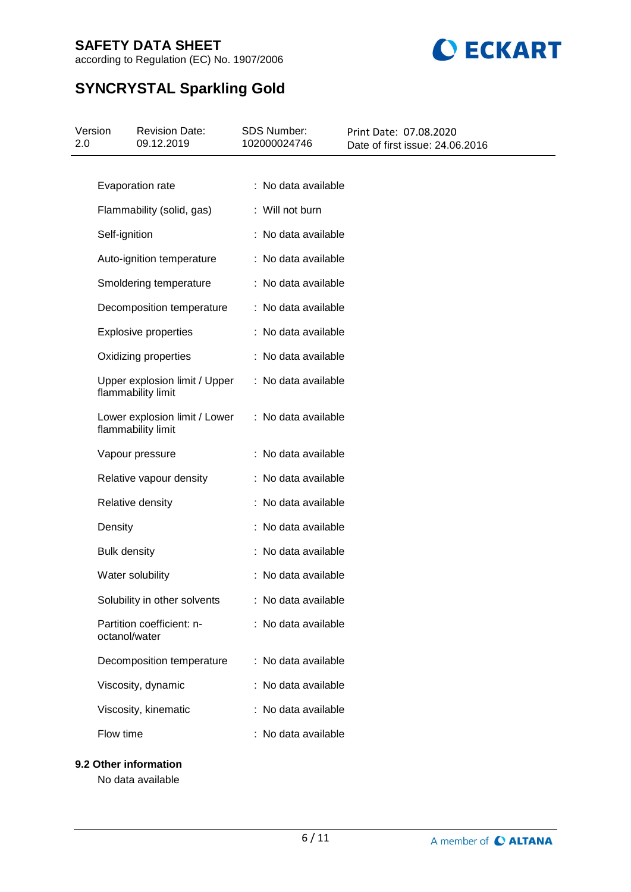according to Regulation (EC) No. 1907/2006



# **SYNCRYSTAL Sparkling Gold**

| Version<br>2.0 | <b>Revision Date:</b><br>09.12.2019                 | <b>SDS Number:</b><br>102000024746 | Print Date: 07.08.2020<br>Date of first issue: 24.06.2016 |
|----------------|-----------------------------------------------------|------------------------------------|-----------------------------------------------------------|
|                |                                                     |                                    |                                                           |
|                | Evaporation rate                                    | : No data available                |                                                           |
|                | Flammability (solid, gas)                           | : Will not burn                    |                                                           |
|                | Self-ignition                                       | : No data available                |                                                           |
|                | Auto-ignition temperature                           | : No data available                |                                                           |
|                | Smoldering temperature                              | : No data available                |                                                           |
|                | Decomposition temperature                           | : No data available                |                                                           |
|                | Explosive properties                                | : No data available                |                                                           |
|                | Oxidizing properties                                | : No data available                |                                                           |
|                | Upper explosion limit / Upper<br>flammability limit | : No data available                |                                                           |
|                | Lower explosion limit / Lower<br>flammability limit | : No data available                |                                                           |
|                | Vapour pressure                                     | : No data available                |                                                           |
|                | Relative vapour density                             | : No data available                |                                                           |
|                | Relative density                                    | : No data available                |                                                           |
|                | Density                                             | : No data available                |                                                           |
|                | <b>Bulk density</b>                                 | : No data available                |                                                           |
|                | Water solubility                                    | : No data available                |                                                           |
|                | Solubility in other solvents                        | : No data available                |                                                           |
|                | Partition coefficient: n-<br>octanol/water          | : No data available                |                                                           |
|                | Decomposition temperature                           | : No data available                |                                                           |
|                | Viscosity, dynamic                                  | : No data available                |                                                           |
|                | Viscosity, kinematic                                | : No data available                |                                                           |
|                | Flow time                                           | : No data available                |                                                           |
|                | 9.2 Other information                               |                                    |                                                           |

No data available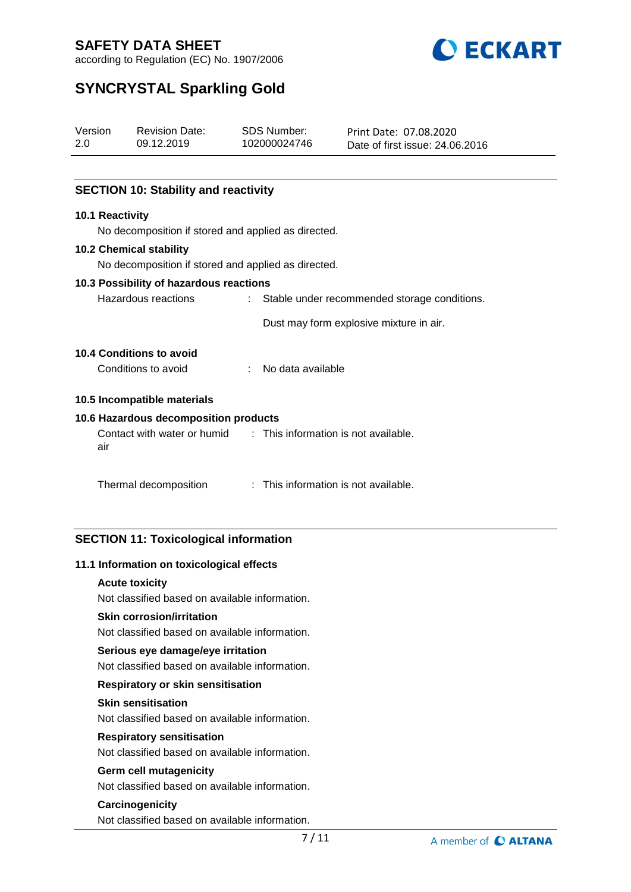

according to Regulation (EC) No. 1907/2006

# **SYNCRYSTAL Sparkling Gold**

| Version<br>2.0 |                 | <b>Revision Date:</b><br>09.12.2019                              | <b>SDS Number:</b><br>102000024746             | Print Date: 07.08.2020<br>Date of first issue: 24.06.2016 |
|----------------|-----------------|------------------------------------------------------------------|------------------------------------------------|-----------------------------------------------------------|
|                |                 |                                                                  |                                                |                                                           |
|                |                 | <b>SECTION 10: Stability and reactivity</b>                      |                                                |                                                           |
|                | 10.1 Reactivity |                                                                  |                                                |                                                           |
|                |                 | No decomposition if stored and applied as directed.              |                                                |                                                           |
|                |                 | <b>10.2 Chemical stability</b>                                   |                                                |                                                           |
|                |                 | No decomposition if stored and applied as directed.              |                                                |                                                           |
|                |                 | 10.3 Possibility of hazardous reactions                          |                                                |                                                           |
|                |                 | Hazardous reactions                                              | : Stable under recommended storage conditions. |                                                           |
|                |                 |                                                                  |                                                | Dust may form explosive mixture in air.                   |
|                |                 | <b>10.4 Conditions to avoid</b>                                  |                                                |                                                           |
|                |                 | Conditions to avoid                                              | No data available                              |                                                           |
|                |                 | 10.5 Incompatible materials                                      |                                                |                                                           |
|                |                 | 10.6 Hazardous decomposition products                            |                                                |                                                           |
|                | air             | Contact with water or humid : This information is not available. |                                                |                                                           |
|                |                 | Thermal decomposition                                            | : This information is not available.           |                                                           |

## **SECTION 11: Toxicological information**

## **11.1 Information on toxicological effects**

#### **Acute toxicity**

Not classified based on available information.

#### **Skin corrosion/irritation**

Not classified based on available information.

#### **Serious eye damage/eye irritation**

Not classified based on available information.

## **Respiratory or skin sensitisation**

#### **Skin sensitisation**

Not classified based on available information.

## **Respiratory sensitisation**

Not classified based on available information.

## **Germ cell mutagenicity**

Not classified based on available information.

## **Carcinogenicity**

Not classified based on available information.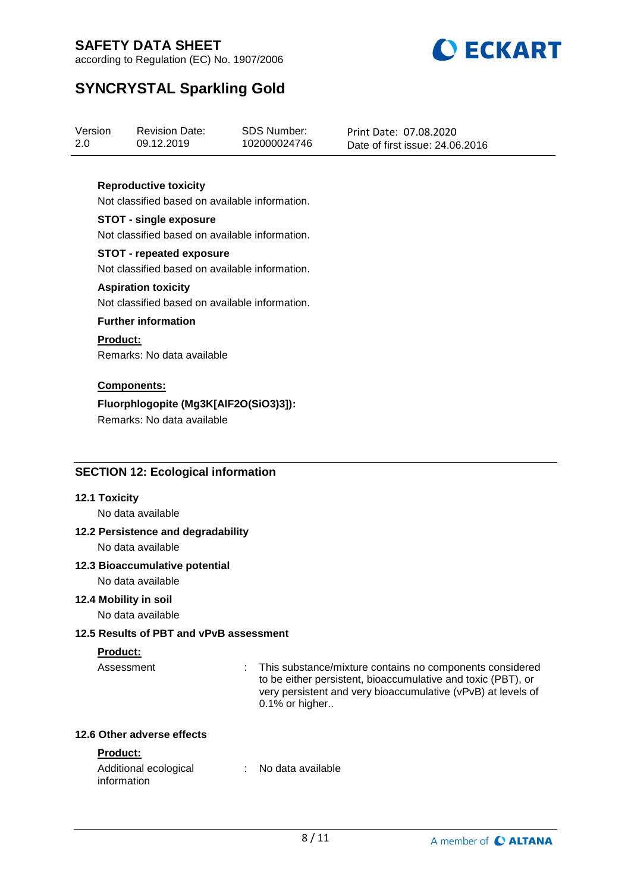

according to Regulation (EC) No. 1907/2006

# **SYNCRYSTAL Sparkling Gold**

| Version | <b>Revision Date:</b> | SDS Number:  | Print Date: 07.08.2020          |
|---------|-----------------------|--------------|---------------------------------|
| 2.0     | 09.12.2019            | 102000024746 | Date of first issue: 24,06,2016 |

## **Reproductive toxicity**

Not classified based on available information.

#### **STOT - single exposure**

Not classified based on available information.

## **STOT - repeated exposure**

Not classified based on available information.

#### **Aspiration toxicity**

Not classified based on available information.

#### **Further information**

#### **Product:**

Remarks: No data available

## **Components:**

## **Fluorphlogopite (Mg3K[AlF2O(SiO3)3]):**

Remarks: No data available

## **SECTION 12: Ecological information**

#### **12.1 Toxicity**

No data available

## **12.2 Persistence and degradability**

No data available

## **12.3 Bioaccumulative potential**

No data available

## **12.4 Mobility in soil**

No data available

## **12.5 Results of PBT and vPvB assessment**

## **Product:**

Assessment : This substance/mixture contains no components considered to be either persistent, bioaccumulative and toxic (PBT), or very persistent and very bioaccumulative (vPvB) at levels of 0.1% or higher..

### **12.6 Other adverse effects**

## **Product:**

| Additional ecological | : No data available |
|-----------------------|---------------------|
| information           |                     |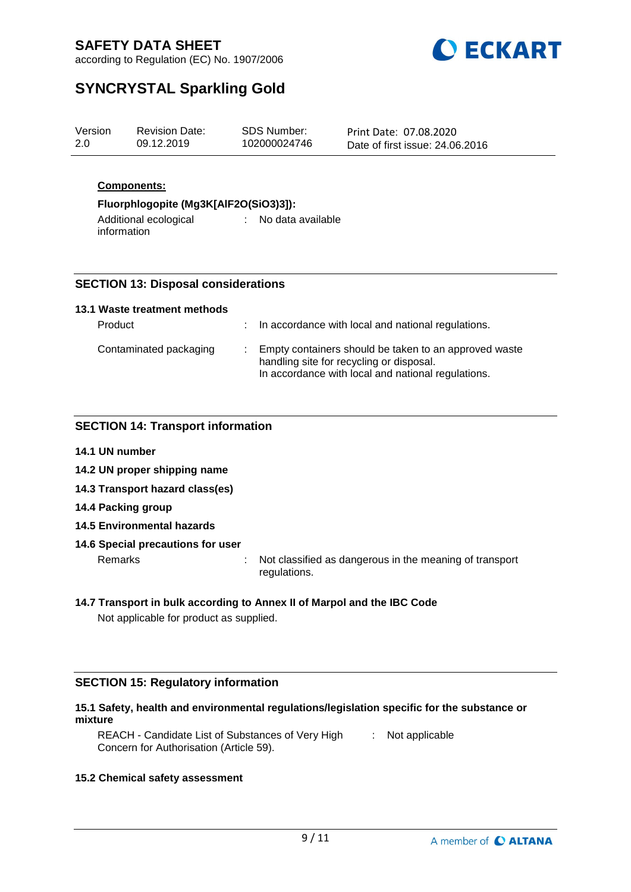

according to Regulation (EC) No. 1907/2006

# **SYNCRYSTAL Sparkling Gold**

| Version<br>SDS Number:<br><b>Revision Date:</b><br>2.0<br>09.12.2019<br>102000024746 | Print Date: 07.08.2020<br>Date of first issue: 24,06,2016 |
|--------------------------------------------------------------------------------------|-----------------------------------------------------------|
|--------------------------------------------------------------------------------------|-----------------------------------------------------------|

## **Components:**

## **Fluorphlogopite (Mg3K[AlF2O(SiO3)3]):**

Additional ecological information : No data available

## **SECTION 13: Disposal considerations**

## **13.1 Waste treatment methods**

| Product                | : In accordance with local and national regulations.                                                                                                    |
|------------------------|---------------------------------------------------------------------------------------------------------------------------------------------------------|
| Contaminated packaging | Empty containers should be taken to an approved waste<br>handling site for recycling or disposal.<br>In accordance with local and national regulations. |

## **SECTION 14: Transport information**

- **14.1 UN number**
- **14.2 UN proper shipping name**
- **14.3 Transport hazard class(es)**
- **14.4 Packing group**
- **14.5 Environmental hazards**

## **14.6 Special precautions for user**

Remarks : Not classified as dangerous in the meaning of transport regulations.

## **14.7 Transport in bulk according to Annex II of Marpol and the IBC Code**

Not applicable for product as supplied.

## **SECTION 15: Regulatory information**

## **15.1 Safety, health and environmental regulations/legislation specific for the substance or mixture**

REACH - Candidate List of Substances of Very High [155] Not applicable Concern for Authorisation (Article 59).

## **15.2 Chemical safety assessment**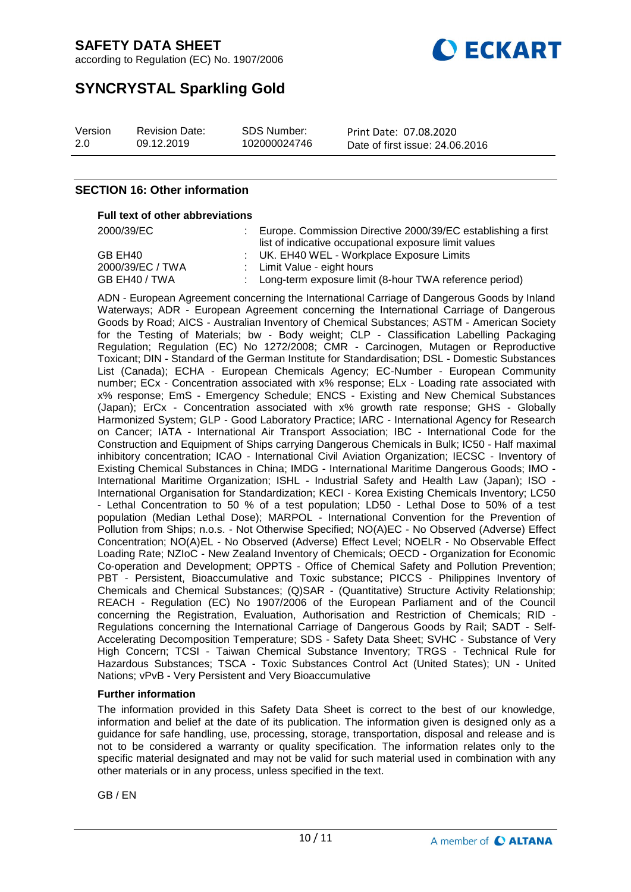according to Regulation (EC) No. 1907/2006



# **SYNCRYSTAL Sparkling Gold**

| Version | <b>Revision Date:</b> | SDS Number:  | Print Date: 07.08.2020          |
|---------|-----------------------|--------------|---------------------------------|
| 2.0     | 09.12.2019            | 102000024746 | Date of first issue: 24,06,2016 |

## **SECTION 16: Other information**

### **Full text of other abbreviations**

| 2000/39/EC       | Europe. Commission Directive 2000/39/EC establishing a first |
|------------------|--------------------------------------------------------------|
|                  | list of indicative occupational exposure limit values        |
| GB EH40          | : UK. EH40 WEL - Workplace Exposure Limits                   |
| 2000/39/EC / TWA | : Limit Value - eight hours                                  |
| GB EH40 / TWA    | : Long-term exposure limit (8-hour TWA reference period)     |

ADN - European Agreement concerning the International Carriage of Dangerous Goods by Inland Waterways; ADR - European Agreement concerning the International Carriage of Dangerous Goods by Road; AICS - Australian Inventory of Chemical Substances; ASTM - American Society for the Testing of Materials; bw - Body weight; CLP - Classification Labelling Packaging Regulation; Regulation (EC) No 1272/2008; CMR - Carcinogen, Mutagen or Reproductive Toxicant; DIN - Standard of the German Institute for Standardisation; DSL - Domestic Substances List (Canada); ECHA - European Chemicals Agency; EC-Number - European Community number; ECx - Concentration associated with x% response; ELx - Loading rate associated with x% response; EmS - Emergency Schedule; ENCS - Existing and New Chemical Substances (Japan); ErCx - Concentration associated with x% growth rate response; GHS - Globally Harmonized System; GLP - Good Laboratory Practice; IARC - International Agency for Research on Cancer; IATA - International Air Transport Association; IBC - International Code for the Construction and Equipment of Ships carrying Dangerous Chemicals in Bulk; IC50 - Half maximal inhibitory concentration; ICAO - International Civil Aviation Organization; IECSC - Inventory of Existing Chemical Substances in China; IMDG - International Maritime Dangerous Goods; IMO - International Maritime Organization; ISHL - Industrial Safety and Health Law (Japan); ISO - International Organisation for Standardization; KECI - Korea Existing Chemicals Inventory; LC50 - Lethal Concentration to 50 % of a test population; LD50 - Lethal Dose to 50% of a test population (Median Lethal Dose); MARPOL - International Convention for the Prevention of Pollution from Ships; n.o.s. - Not Otherwise Specified; NO(A)EC - No Observed (Adverse) Effect Concentration; NO(A)EL - No Observed (Adverse) Effect Level; NOELR - No Observable Effect Loading Rate; NZIoC - New Zealand Inventory of Chemicals; OECD - Organization for Economic Co-operation and Development; OPPTS - Office of Chemical Safety and Pollution Prevention; PBT - Persistent, Bioaccumulative and Toxic substance; PICCS - Philippines Inventory of Chemicals and Chemical Substances; (Q)SAR - (Quantitative) Structure Activity Relationship; REACH - Regulation (EC) No 1907/2006 of the European Parliament and of the Council concerning the Registration, Evaluation, Authorisation and Restriction of Chemicals; RID - Regulations concerning the International Carriage of Dangerous Goods by Rail; SADT - Self-Accelerating Decomposition Temperature; SDS - Safety Data Sheet; SVHC - Substance of Very High Concern; TCSI - Taiwan Chemical Substance Inventory; TRGS - Technical Rule for Hazardous Substances; TSCA - Toxic Substances Control Act (United States); UN - United Nations; vPvB - Very Persistent and Very Bioaccumulative

#### **Further information**

The information provided in this Safety Data Sheet is correct to the best of our knowledge, information and belief at the date of its publication. The information given is designed only as a guidance for safe handling, use, processing, storage, transportation, disposal and release and is not to be considered a warranty or quality specification. The information relates only to the specific material designated and may not be valid for such material used in combination with any other materials or in any process, unless specified in the text.

GB / EN